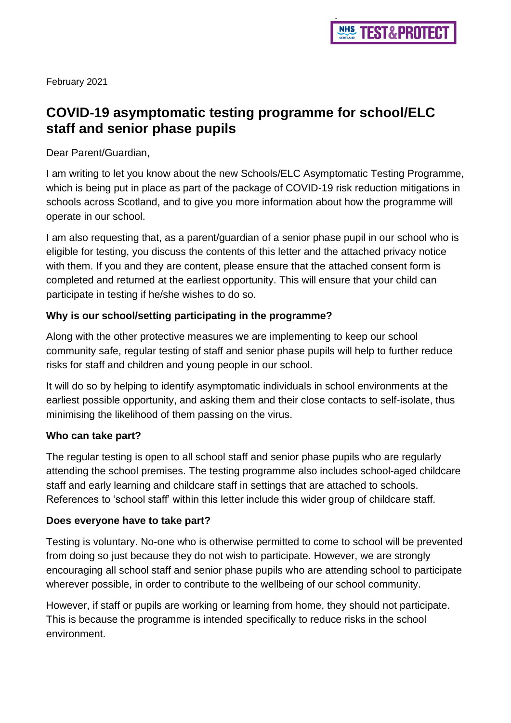February 2021

# **COVID-19 asymptomatic testing programme for school/ELC staff and senior phase pupils**

Dear Parent/Guardian,

I am writing to let you know about the new Schools/ELC Asymptomatic Testing Programme, which is being put in place as part of the package of COVID-19 risk reduction mitigations in schools across Scotland, and to give you more information about how the programme will operate in our school.

I am also requesting that, as a parent/guardian of a senior phase pupil in our school who is eligible for testing, you discuss the contents of this letter and the attached privacy notice with them. If you and they are content, please ensure that the attached consent form is completed and returned at the earliest opportunity. This will ensure that your child can participate in testing if he/she wishes to do so.

# **Why is our school/setting participating in the programme?**

Along with the other protective measures we are implementing to keep our school community safe, regular testing of staff and senior phase pupils will help to further reduce risks for staff and children and young people in our school.

It will do so by helping to identify asymptomatic individuals in school environments at the earliest possible opportunity, and asking them and their close contacts to self-isolate, thus minimising the likelihood of them passing on the virus.

## **Who can take part?**

The regular testing is open to all school staff and senior phase pupils who are regularly attending the school premises. The testing programme also includes school-aged childcare staff and early learning and childcare staff in settings that are attached to schools. References to 'school staff' within this letter include this wider group of childcare staff.

## **Does everyone have to take part?**

Testing is voluntary. No-one who is otherwise permitted to come to school will be prevented from doing so just because they do not wish to participate. However, we are strongly encouraging all school staff and senior phase pupils who are attending school to participate wherever possible, in order to contribute to the wellbeing of our school community.

However, if staff or pupils are working or learning from home, they should not participate. This is because the programme is intended specifically to reduce risks in the school environment.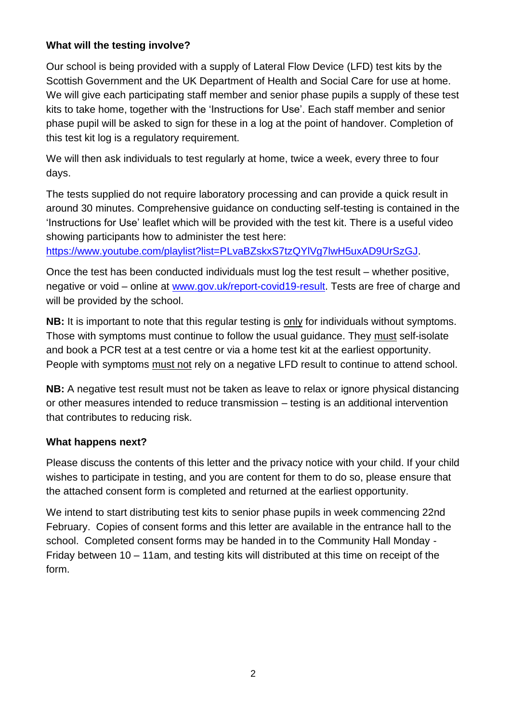# **What will the testing involve?**

Our school is being provided with a supply of Lateral Flow Device (LFD) test kits by the Scottish Government and the UK Department of Health and Social Care for use at home. We will give each participating staff member and senior phase pupils a supply of these test kits to take home, together with the 'Instructions for Use'. Each staff member and senior phase pupil will be asked to sign for these in a log at the point of handover. Completion of this test kit log is a regulatory requirement.

We will then ask individuals to test regularly at home, twice a week, every three to four days.

The tests supplied do not require laboratory processing and can provide a quick result in around 30 minutes. Comprehensive guidance on conducting self-testing is contained in the 'Instructions for Use' leaflet which will be provided with the test kit. There is a useful video showing participants how to administer the test here:

https://www.youtube.com/playlist?list=PLyaBZskxS7tzQYlVg7lwH5uxAD9UrSzGJ.

Once the test has been conducted individuals must log the test result – whether positive, negative or void – online at [www.gov.uk/report-covid19-result.](http://www.gov.uk/report-covid19-result) Tests are free of charge and will be provided by the school.

**NB:** It is important to note that this regular testing is only for individuals without symptoms. Those with symptoms must continue to follow the usual guidance. They must self-isolate and book a PCR test at a test centre or via a home test kit at the earliest opportunity. People with symptoms must not rely on a negative LFD result to continue to attend school.

**NB:** A negative test result must not be taken as leave to relax or ignore physical distancing or other measures intended to reduce transmission – testing is an additional intervention that contributes to reducing risk.

## **What happens next?**

Please discuss the contents of this letter and the privacy notice with your child. If your child wishes to participate in testing, and you are content for them to do so, please ensure that the attached consent form is completed and returned at the earliest opportunity.

We intend to start distributing test kits to senior phase pupils in week commencing 22nd February. Copies of consent forms and this letter are available in the entrance hall to the school. Completed consent forms may be handed in to the Community Hall Monday - Friday between 10 – 11am, and testing kits will distributed at this time on receipt of the form.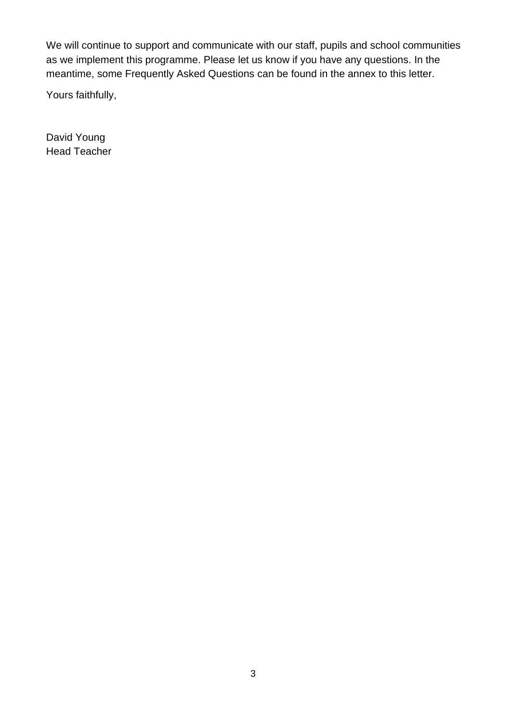We will continue to support and communicate with our staff, pupils and school communities as we implement this programme. Please let us know if you have any questions. In the meantime, some Frequently Asked Questions can be found in the annex to this letter.

Yours faithfully,

David Young Head Teacher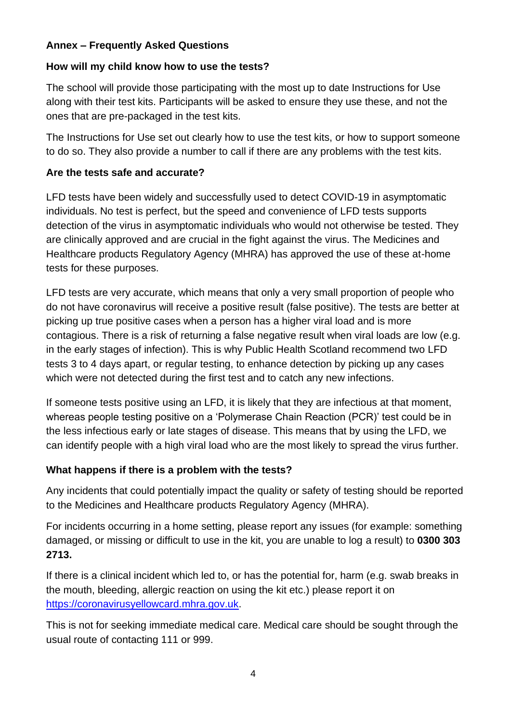## **Annex – Frequently Asked Questions**

## **How will my child know how to use the tests?**

The school will provide those participating with the most up to date Instructions for Use along with their test kits. Participants will be asked to ensure they use these, and not the ones that are pre-packaged in the test kits.

The Instructions for Use set out clearly how to use the test kits, or how to support someone to do so. They also provide a number to call if there are any problems with the test kits.

## **Are the tests safe and accurate?**

LFD tests have been widely and successfully used to detect COVID-19 in asymptomatic individuals. No test is perfect, but the speed and convenience of LFD tests supports detection of the virus in asymptomatic individuals who would not otherwise be tested. They are clinically approved and are crucial in the fight against the virus. The Medicines and Healthcare products Regulatory Agency (MHRA) has approved the use of these at-home tests for these purposes.

LFD tests are very accurate, which means that only a very small proportion of people who do not have coronavirus will receive a positive result (false positive). The tests are better at picking up true positive cases when a person has a higher viral load and is more contagious. There is a risk of returning a false negative result when viral loads are low (e.g. in the early stages of infection). This is why Public Health Scotland recommend two LFD tests 3 to 4 days apart, or regular testing, to enhance detection by picking up any cases which were not detected during the first test and to catch any new infections.

If someone tests positive using an LFD, it is likely that they are infectious at that moment, whereas people testing positive on a 'Polymerase Chain Reaction (PCR)' test could be in the less infectious early or late stages of disease. This means that by using the LFD, we can identify people with a high viral load who are the most likely to spread the virus further.

# **What happens if there is a problem with the tests?**

Any incidents that could potentially impact the quality or safety of testing should be reported to the Medicines and Healthcare products Regulatory Agency (MHRA).

For incidents occurring in a home setting, please report any issues (for example: something damaged, or missing or difficult to use in the kit, you are unable to log a result) to **0300 303 2713.**

If there is a clinical incident which led to, or has the potential for, harm (e.g. swab breaks in the mouth, bleeding, allergic reaction on using the kit etc.) please report it on [https://coronavirusyellowcard.mhra.gov.uk.](https://coronavirusyellowcard.mhra.gov.uk/)

This is not for seeking immediate medical care. Medical care should be sought through the usual route of contacting 111 or 999.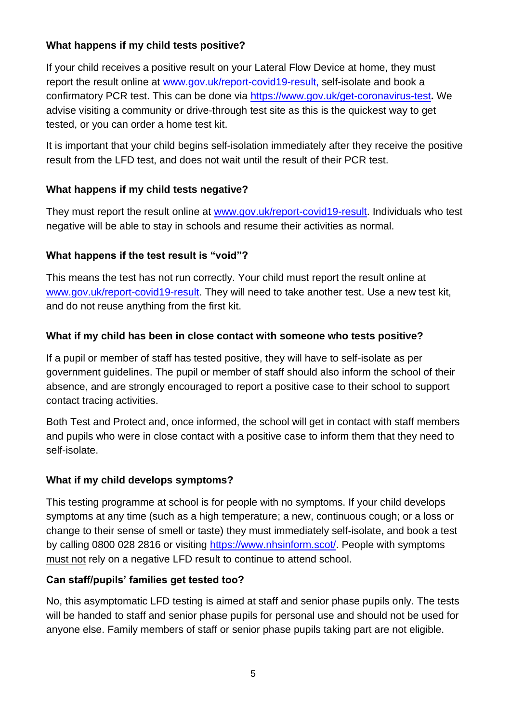# **What happens if my child tests positive?**

If your child receives a positive result on your Lateral Flow Device at home, they must report the result online at [www.gov.uk/report-covid19-result,](http://www.gov.uk/report-covid19-result) self-isolate and book a confirmatory PCR test. This can be done via<https://www.gov.uk/get-coronavirus-test>**.** We advise visiting a community or drive-through test site as this is the quickest way to get tested, or you can order a home test kit.

It is important that your child begins self-isolation immediately after they receive the positive result from the LFD test, and does not wait until the result of their PCR test.

## **What happens if my child tests negative?**

They must report the result online at [www.gov.uk/report-covid19-result.](http://www.gov.uk/report-covid19-result) Individuals who test negative will be able to stay in schools and resume their activities as normal.

## **What happens if the test result is "void"?**

This means the test has not run correctly. Your child must report the result online at [www.gov.uk/report-covid19-result.](http://www.gov.uk/report-covid19-result) They will need to take another test. Use a new test kit, and do not reuse anything from the first kit.

## **What if my child has been in close contact with someone who tests positive?**

If a pupil or member of staff has tested positive, they will have to self-isolate as per government guidelines. The pupil or member of staff should also inform the school of their absence, and are strongly encouraged to report a positive case to their school to support contact tracing activities.

Both Test and Protect and, once informed, the school will get in contact with staff members and pupils who were in close contact with a positive case to inform them that they need to self-isolate.

## **What if my child develops symptoms?**

This testing programme at school is for people with no symptoms. If your child develops symptoms at any time (such as a high temperature; a new, continuous cough; or a loss or change to their sense of smell or taste) they must immediately self-isolate, and book a test by calling 0800 028 2816 or visiting [https://www.nhsinform.scot/.](https://www.nhsinform.scot/) People with symptoms must not rely on a negative LFD result to continue to attend school.

## **Can staff/pupils' families get tested too?**

No, this asymptomatic LFD testing is aimed at staff and senior phase pupils only. The tests will be handed to staff and senior phase pupils for personal use and should not be used for anyone else. Family members of staff or senior phase pupils taking part are not eligible.